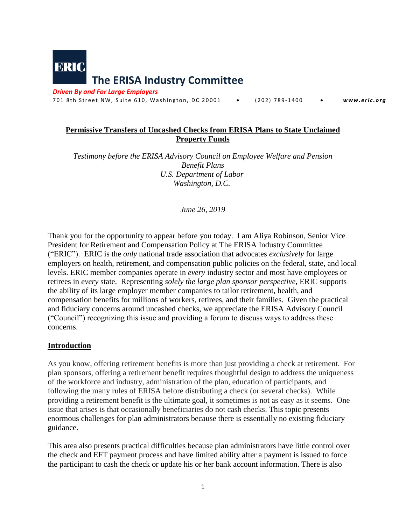

*Driven By and For Large Employers*

701 8th Street NW, Suite 610, Washington, DC 20001 • (202) 789-1400 • *www.eric.org* 

# **Permissive Transfers of Uncashed Checks from ERISA Plans to State Unclaimed Property Funds**

*Testimony before the ERISA Advisory Council on Employee Welfare and Pension Benefit Plans U.S. Department of Labor Washington, D.C.*

*June 26, 2019*

Thank you for the opportunity to appear before you today. I am Aliya Robinson, Senior Vice President for Retirement and Compensation Policy at The ERISA Industry Committee ("ERIC"). ERIC is the *only* national trade association that advocates *exclusively* for large employers on health, retirement, and compensation public policies on the federal, state, and local levels. ERIC member companies operate in *every* industry sector and most have employees or retirees in *every* state. Representing *solely the large plan sponsor perspective*, ERIC supports the ability of its large employer member companies to tailor retirement, health, and compensation benefits for millions of workers, retirees, and their families. Given the practical and fiduciary concerns around uncashed checks, we appreciate the ERISA Advisory Council ("Council") recognizing this issue and providing a forum to discuss ways to address these concerns.

# **Introduction**

As you know, offering retirement benefits is more than just providing a check at retirement. For plan sponsors, offering a retirement benefit requires thoughtful design to address the uniqueness of the workforce and industry, administration of the plan, education of participants, and following the many rules of ERISA before distributing a check (or several checks). While providing a retirement benefit is the ultimate goal, it sometimes is not as easy as it seems. One issue that arises is that occasionally beneficiaries do not cash checks. This topic presents enormous challenges for plan administrators because there is essentially no existing fiduciary guidance.

This area also presents practical difficulties because plan administrators have little control over the check and EFT payment process and have limited ability after a payment is issued to force the participant to cash the check or update his or her bank account information. There is also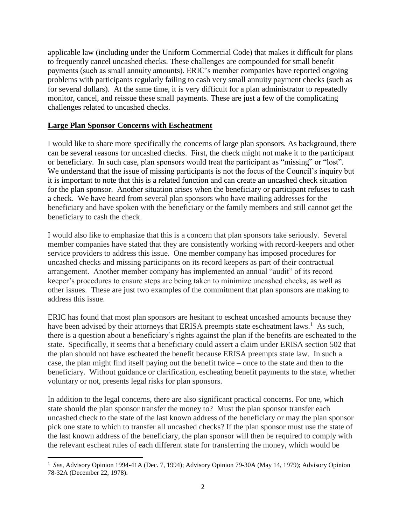applicable law (including under the Uniform Commercial Code) that makes it difficult for plans to frequently cancel uncashed checks. These challenges are compounded for small benefit payments (such as small annuity amounts). ERIC's member companies have reported ongoing problems with participants regularly failing to cash very small annuity payment checks (such as for several dollars). At the same time, it is very difficult for a plan administrator to repeatedly monitor, cancel, and reissue these small payments. These are just a few of the complicating challenges related to uncashed checks.

### **Large Plan Sponsor Concerns with Escheatment**

 $\overline{a}$ 

I would like to share more specifically the concerns of large plan sponsors. As background, there can be several reasons for uncashed checks. First, the check might not make it to the participant or beneficiary. In such case, plan sponsors would treat the participant as "missing" or "lost". We understand that the issue of missing participants is not the focus of the Council's inquiry but it is important to note that this is a related function and can create an uncashed check situation for the plan sponsor. Another situation arises when the beneficiary or participant refuses to cash a check. We have heard from several plan sponsors who have mailing addresses for the beneficiary and have spoken with the beneficiary or the family members and still cannot get the beneficiary to cash the check.

I would also like to emphasize that this is a concern that plan sponsors take seriously. Several member companies have stated that they are consistently working with record-keepers and other service providers to address this issue. One member company has imposed procedures for uncashed checks and missing participants on its record keepers as part of their contractual arrangement. Another member company has implemented an annual "audit" of its record keeper's procedures to ensure steps are being taken to minimize uncashed checks, as well as other issues. These are just two examples of the commitment that plan sponsors are making to address this issue.

ERIC has found that most plan sponsors are hesitant to escheat uncashed amounts because they have been advised by their attorneys that ERISA preempts state escheatment laws.<sup>1</sup> As such, there is a question about a beneficiary's rights against the plan if the benefits are escheated to the state. Specifically, it seems that a beneficiary could assert a claim under ERISA section 502 that the plan should not have escheated the benefit because ERISA preempts state law. In such a case, the plan might find itself paying out the benefit twice – once to the state and then to the beneficiary. Without guidance or clarification, escheating benefit payments to the state, whether voluntary or not, presents legal risks for plan sponsors.

In addition to the legal concerns, there are also significant practical concerns. For one, which state should the plan sponsor transfer the money to? Must the plan sponsor transfer each uncashed check to the state of the last known address of the beneficiary or may the plan sponsor pick one state to which to transfer all uncashed checks? If the plan sponsor must use the state of the last known address of the beneficiary, the plan sponsor will then be required to comply with the relevant escheat rules of each different state for transferring the money, which would be

<sup>&</sup>lt;sup>1</sup> See, Advisory Opinion 1994-41A (Dec. 7, 1994); Advisory Opinion 79-30A (May 14, 1979); Advisory Opinion 78-32A (December 22, 1978).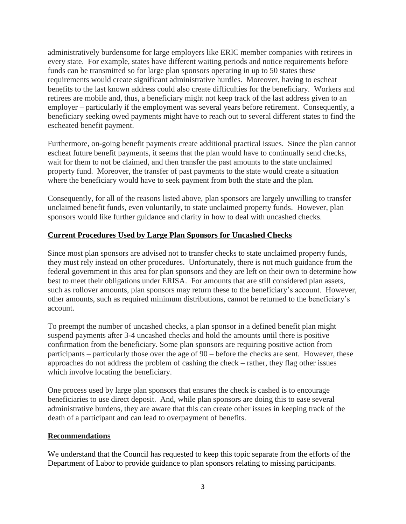administratively burdensome for large employers like ERIC member companies with retirees in every state. For example, states have different waiting periods and notice requirements before funds can be transmitted so for large plan sponsors operating in up to 50 states these requirements would create significant administrative hurdles. Moreover, having to escheat benefits to the last known address could also create difficulties for the beneficiary. Workers and retirees are mobile and, thus, a beneficiary might not keep track of the last address given to an employer – particularly if the employment was several years before retirement. Consequently, a beneficiary seeking owed payments might have to reach out to several different states to find the escheated benefit payment.

Furthermore, on-going benefit payments create additional practical issues. Since the plan cannot escheat future benefit payments, it seems that the plan would have to continually send checks, wait for them to not be claimed, and then transfer the past amounts to the state unclaimed property fund. Moreover, the transfer of past payments to the state would create a situation where the beneficiary would have to seek payment from both the state and the plan.

Consequently, for all of the reasons listed above, plan sponsors are largely unwilling to transfer unclaimed benefit funds, even voluntarily, to state unclaimed property funds. However, plan sponsors would like further guidance and clarity in how to deal with uncashed checks.

# **Current Procedures Used by Large Plan Sponsors for Uncashed Checks**

Since most plan sponsors are advised not to transfer checks to state unclaimed property funds, they must rely instead on other procedures. Unfortunately, there is not much guidance from the federal government in this area for plan sponsors and they are left on their own to determine how best to meet their obligations under ERISA. For amounts that are still considered plan assets, such as rollover amounts, plan sponsors may return these to the beneficiary's account. However, other amounts, such as required minimum distributions, cannot be returned to the beneficiary's account.

To preempt the number of uncashed checks, a plan sponsor in a defined benefit plan might suspend payments after 3-4 uncashed checks and hold the amounts until there is positive confirmation from the beneficiary. Some plan sponsors are requiring positive action from participants – particularly those over the age of 90 – before the checks are sent. However, these approaches do not address the problem of cashing the check – rather, they flag other issues which involve locating the beneficiary.

One process used by large plan sponsors that ensures the check is cashed is to encourage beneficiaries to use direct deposit. And, while plan sponsors are doing this to ease several administrative burdens, they are aware that this can create other issues in keeping track of the death of a participant and can lead to overpayment of benefits.

# **Recommendations**

We understand that the Council has requested to keep this topic separate from the efforts of the Department of Labor to provide guidance to plan sponsors relating to missing participants.